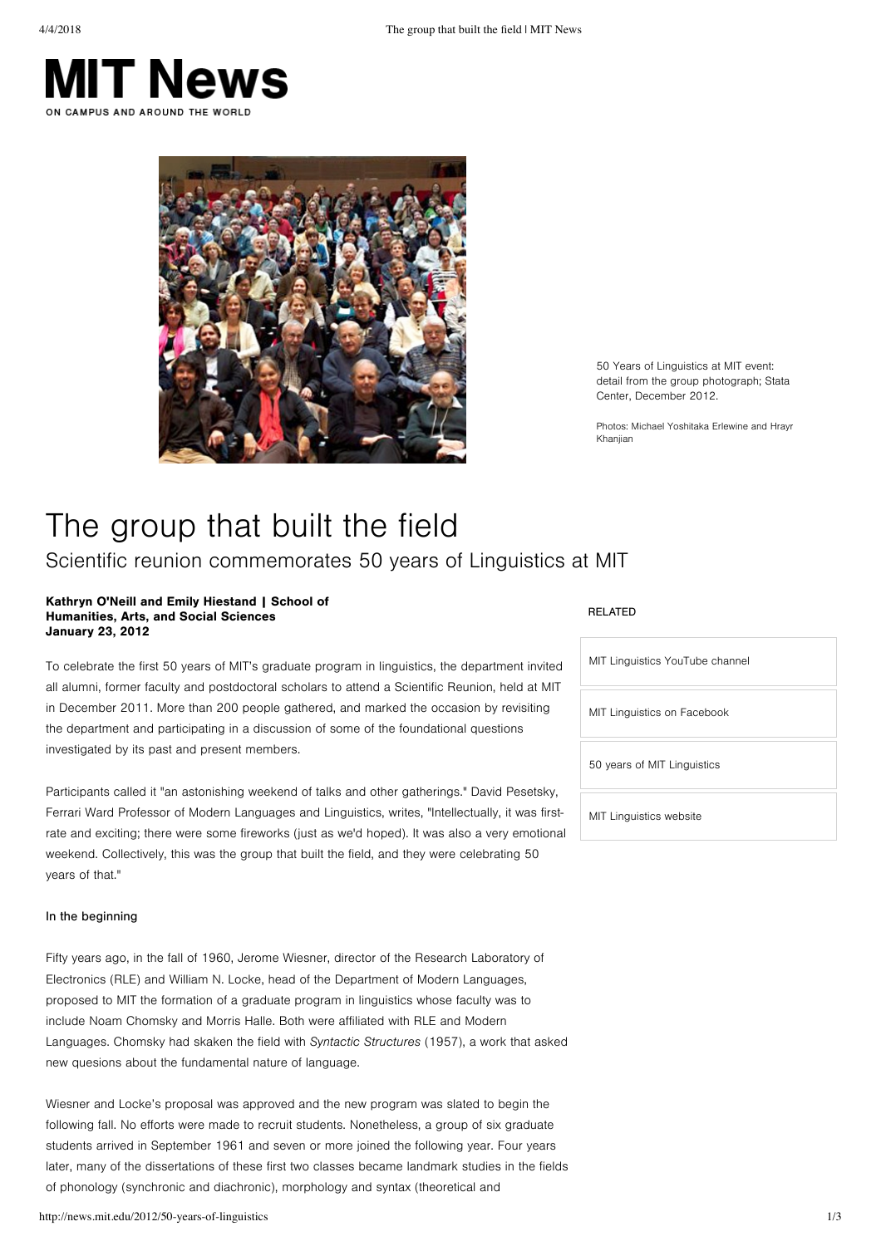



50 Years of Linguistics at MIT event: detail from the group photograph; Stata Center, December 2012.

Photos: Michael Yoshitaka Frlewine and Hrayr Khaniian

# The group that built the field Scientific reunion commemorates 50 years of Linguistics at MIT

#### Kathryn O'Neill and Emily Hiestand | School of Humanities, Arts, and Social Sciences **January 23, 2012**

To celebrate the first 50 years of MIT's graduate program in linguistics, the department invited all alumni, former faculty and postdoctoral scholars to attend a Scientific Reunion, held at MIT in December 2011. More than 200 people gathered, and marked the occasion by revisiting the department and participating in a discussion of some of the foundational questions investigated by its past and present members.

Participants called it "an astonishing weekend of talks and other gatherings." David Pesetsky, Ferrari Ward Professor of Modern Languages and Linguistics, writes, "Intellectually, it was firstrate and exciting; there were some fireworks (just as we'd hoped). It was also a very emotional weekend. Collectively, this was the group that built the field, and they were celebrating 50 vears of that."

#### In the beginning

Fifty years ago, in the fall of 1960, Jerome Wiesner, director of the Research Laboratory of Electronics (RLE) and William N. Locke, head of the Department of Modern Languages, proposed to MIT the formation of a graduate program in linguistics whose faculty was to include Noam Chomsky and Morris Halle. Both were affiliated with RLE and Modern Languages. Chomsky had skaken the field with Syntactic Structures (1957), a work that asked new quesions about the fundamental nature of language.

Wiesner and Locke's proposal was approved and the new program was slated to begin the following fall. No efforts were made to recruit students. Nonetheless, a group of six graduate students arrived in September 1961 and seven or more joined the following year. Four years later, many of the dissertations of these first two classes became landmark studies in the fields of phonology (synchronic and diachronic), morphology and syntax (theoretical and

#### **RELATED**

| MIT Linguistics YouTube channel |
|---------------------------------|
| MIT Linguistics on Facebook     |
| 50 years of MIT Linguistics     |
| MIT Linguistics website         |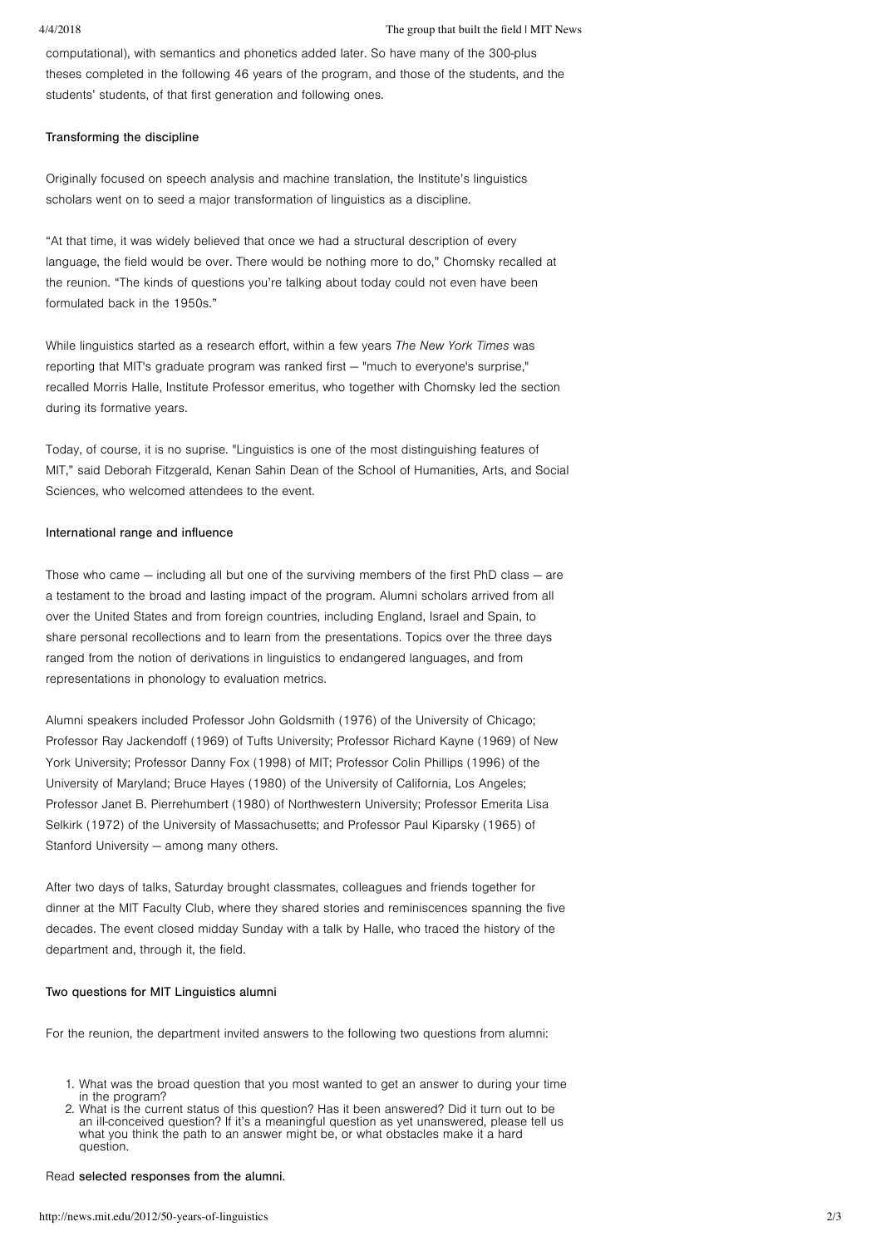computational), with semantics and phonetics added later. So have many of the 300-plus theses completed in the following 46 years of the program, and those of the students, and the students' students, of that first generation and following ones.

### Transforming the discipline

Originally focused on speech analysis and machine translation, the Institute's linguistics scholars went on to seed a major transformation of linguistics as a discipline.

"At that time, it was widely believed that once we had a structural description of every language, the field would be over. There would be nothing more to do," Chomsky recalled at the reunion. "The kinds of questions you're talking about today could not even have been formulated back in the 1950s."

While linguistics started as a research effort, within a few years The New York Times was reporting that MIT's graduate program was ranked first — "much to everyone's surprise," recalled Morris Halle, Institute Professor emeritus, who together with Chomsky led the section during its formative years.

Today, of course, it is no suprise. "Linguistics is one of the most distinguishing features of MIT," said Deborah Fitzgerald, Kenan Sahin Dean of the School of Humanities, Arts, and Social Sciences, who welcomed attendees to the event.

# International range and influence

Those who came  $-$  including all but one of the surviving members of the first PhD class  $-$  are a testament to the broad and lasting impact of the program. Alumni scholars arrived from all over the United States and from foreign countries, including England, Israel and Spain, to share personal recollections and to learn from the presentations. Topics over the three days ranged from the notion of derivations in linguistics to endangered languages, and from representations in phonology to evaluation metrics.

Alumni speakers included Professor John Goldsmith (1976) of the University of Chicago; Professor Ray Jackendoff (1969) of Tufts University; Professor Richard Kayne (1969) of New York University; Professor Danny Fox (1998) of MIT; Professor Colin Phillips (1996) of the University of Maryland; Bruce Hayes (1980) of the University of California, Los Angeles; Professor Janet B. Pierrehumbert (1980) of Northwestern University; Professor Emerita Lisa Selkirk (1972) of the University of Massachusetts; and Professor Paul Kiparsky (1965) of Stanford University — among many others.

After two days of talks, Saturday brought classmates, colleagues and friends together for dinner at the MIT Faculty Club, where they shared stories and reminiscences spanning the five decades. The event closed midday Sunday with a talk by Halle, who traced the history of the department and, through it, the field.

## Two questions for MIT Linguistics alumni

For the reunion, the department invited answers to the following two questions from alumni:

- 1. What was the broad question that you most wanted to get an answer to during your time in the program?
- 2. What is the current status of this question? Has it been answered? Did it turn out to be an ill-conceived question? If it's a meaningful question as yet unanswered, please tell us what you think the path to an answer might be, or what obstacles make it a hard question.

# Read selected responses from the alumni.